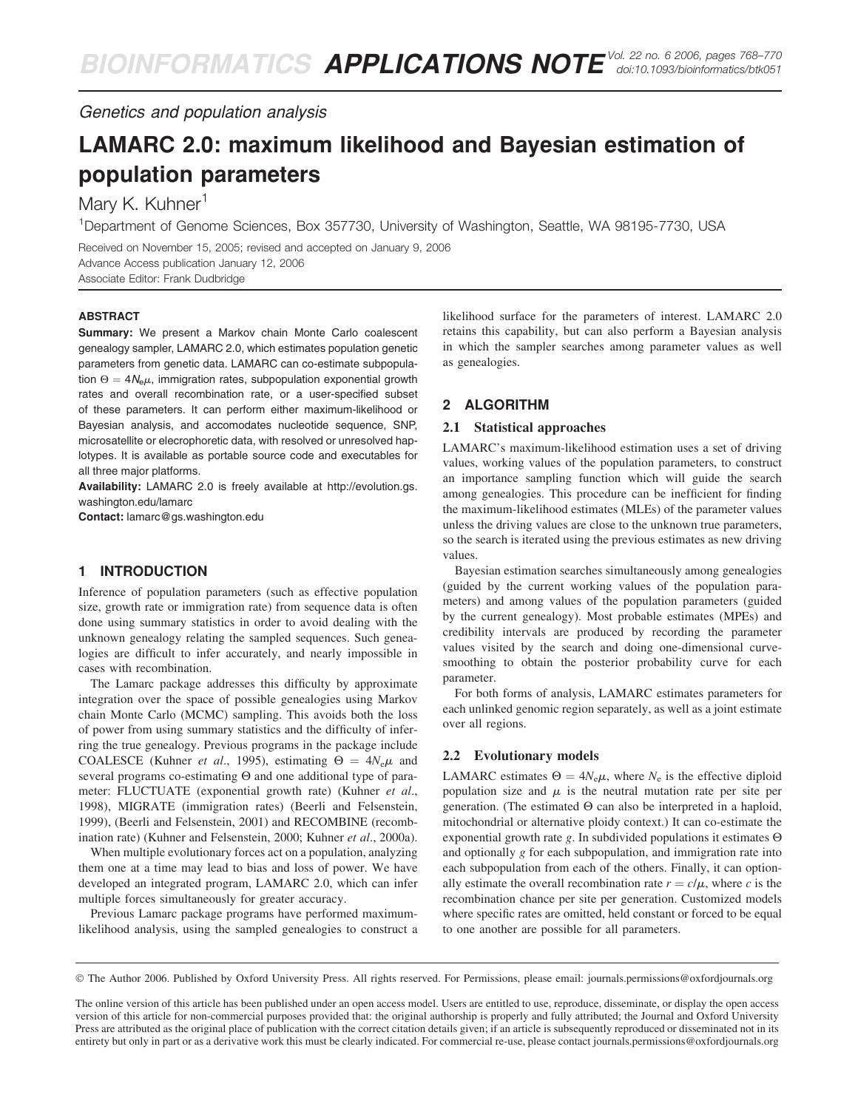Genetics and population analysis

# LAMARC 2.0: maximum likelihood and Bayesian estimation of population parameters

# Mary K. Kuhner<sup>1</sup>

<sup>1</sup>Department of Genome Sciences, Box 357730, University of Washington, Seattle, WA 98195-7730, USA

Received on November 15, 2005; revised and accepted on January 9, 2006 Advance Access publication January 12, 2006 Associate Editor: Frank Dudbridge

#### **ABSTRACT**

Summary: We present a Markov chain Monte Carlo coalescent genealogy sampler, LAMARC 2.0, which estimates population genetic parameters from genetic data. LAMARC can co-estimate subpopulation  $\Theta = 4N_{\rm e}\mu$ , immigration rates, subpopulation exponential growth rates and overall recombination rate, or a user-specified subset of these parameters. It can perform either maximum-likelihood or Bayesian analysis, and accomodates nucleotide sequence, SNP, microsatellite or elecrophoretic data, with resolved or unresolved haplotypes. It is available as portable source code and executables for all three major platforms.

Availability: LAMARC 2.0 is freely available at [http://evolution.gs.](http://evolution.gs) washington.edu/lamarc

Contact: lamarc@gs.washington.edu

# 1 INTRODUCTION

Inference of population parameters (such as effective population size, growth rate or immigration rate) from sequence data is often done using summary statistics in order to avoid dealing with the unknown genealogy relating the sampled sequences. Such genealogies are difficult to infer accurately, and nearly impossible in cases with recombination.

The Lamarc package addresses this difficulty by approximate integration over the space of possible genealogies using Markov chain Monte Carlo (MCMC) sampling. This avoids both the loss of power from using summary statistics and the difficulty of inferring the true genealogy. Previous programs in the package include COALESCE (Kuhner *et al.*, 1995), estimating  $\Theta = 4N_e\mu$  and several programs co-estimating  $\Theta$  and one additional type of parameter: FLUCTUATE (exponential growth rate) (Kuhner et al., 1998), MIGRATE (immigration rates) (Beerli and Felsenstein, 1999), (Beerli and Felsenstein, 2001) and RECOMBINE (recombination rate) (Kuhner and Felsenstein, 2000; Kuhner et al., 2000a).

When multiple evolutionary forces act on a population, analyzing them one at a time may lead to bias and loss of power. We have developed an integrated program, LAMARC 2.0, which can infer multiple forces simultaneously for greater accuracy.

Previous Lamarc package programs have performed maximumlikelihood analysis, using the sampled genealogies to construct a likelihood surface for the parameters of interest. LAMARC 2.0 retains this capability, but can also perform a Bayesian analysis in which the sampler searches among parameter values as well as genealogies.

# 2 ALGORITHM

#### 2.1 Statistical approaches

LAMARC's maximum-likelihood estimation uses a set of driving values, working values of the population parameters, to construct an importance sampling function which will guide the search among genealogies. This procedure can be inefficient for finding the maximum-likelihood estimates (MLEs) of the parameter values unless the driving values are close to the unknown true parameters, so the search is iterated using the previous estimates as new driving values.

Bayesian estimation searches simultaneously among genealogies (guided by the current working values of the population parameters) and among values of the population parameters (guided by the current genealogy). Most probable estimates (MPEs) and credibility intervals are produced by recording the parameter values visited by the search and doing one-dimensional curvesmoothing to obtain the posterior probability curve for each parameter.

For both forms of analysis, LAMARC estimates parameters for each unlinked genomic region separately, as well as a joint estimate over all regions.

#### 2.2 Evolutionary models

LAMARC estimates  $\Theta = 4N_e\mu$ , where  $N_e$  is the effective diploid population size and  $\mu$  is the neutral mutation rate per site per generation. (The estimated  $\Theta$  can also be interpreted in a haploid, mitochondrial or alternative ploidy context.) It can co-estimate the exponential growth rate g. In subdivided populations it estimates  $\Theta$ and optionally  $g$  for each subpopulation, and immigration rate into each subpopulation from each of the others. Finally, it can optionally estimate the overall recombination rate  $r = c/\mu$ , where c is the recombination chance per site per generation. Customized models where specific rates are omitted, held constant or forced to be equal to one another are possible for all parameters.

The Author 2006. Published by Oxford University Press. All rights reserved. For Permissions, please email: journals.permissions@oxfordjournals.org

The online version of this article has been published under an open access model. Users are entitled to use, reproduce, disseminate, or display the open access version of this article for non-commercial purposes provided that: the original authorship is properly and fully attributed; the Journal and Oxford University Press are attributed as the original place of publication with the correct citation details given; if an article is subsequently reproduced or disseminated not in its entirety but only in part or as a derivative work this must be clearly indicated. For commercial re-use, please contact journals.permissions@oxfordjournals.org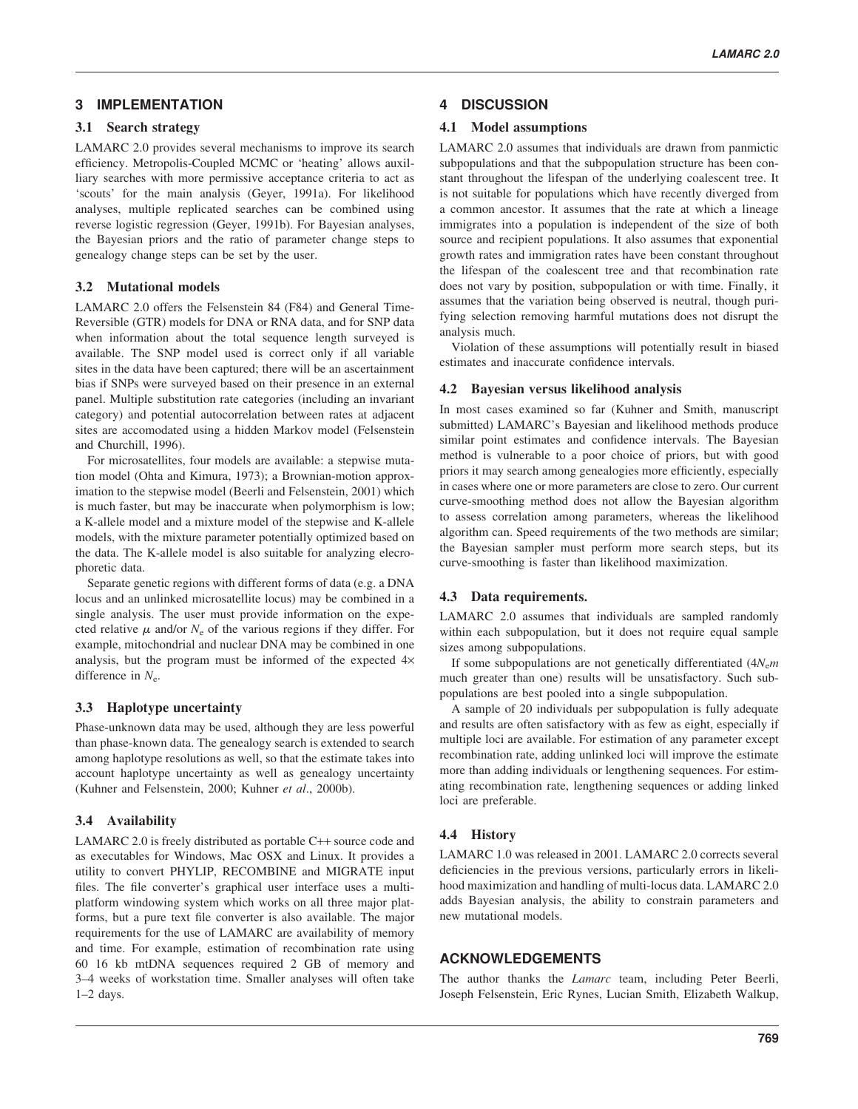# 3 IMPLEMENTATION

#### 3.1 Search strategy

LAMARC 2.0 provides several mechanisms to improve its search efficiency. Metropolis-Coupled MCMC or 'heating' allows auxilliary searches with more permissive acceptance criteria to act as 'scouts' for the main analysis (Geyer, 1991a). For likelihood analyses, multiple replicated searches can be combined using reverse logistic regression (Geyer, 1991b). For Bayesian analyses, the Bayesian priors and the ratio of parameter change steps to genealogy change steps can be set by the user.

#### 3.2 Mutational models

LAMARC 2.0 offers the Felsenstein 84 (F84) and General Time-Reversible (GTR) models for DNA or RNA data, and for SNP data when information about the total sequence length surveyed is available. The SNP model used is correct only if all variable sites in the data have been captured; there will be an ascertainment bias if SNPs were surveyed based on their presence in an external panel. Multiple substitution rate categories (including an invariant category) and potential autocorrelation between rates at adjacent sites are accomodated using a hidden Markov model (Felsenstein and Churchill, 1996).

For microsatellites, four models are available: a stepwise mutation model (Ohta and Kimura, 1973); a Brownian-motion approximation to the stepwise model (Beerli and Felsenstein, 2001) which is much faster, but may be inaccurate when polymorphism is low; a K-allele model and a mixture model of the stepwise and K-allele models, with the mixture parameter potentially optimized based on the data. The K-allele model is also suitable for analyzing elecrophoretic data.

Separate genetic regions with different forms of data (e.g. a DNA locus and an unlinked microsatellite locus) may be combined in a single analysis. The user must provide information on the expected relative  $\mu$  and/or  $N_e$  of the various regions if they differ. For example, mitochondrial and nuclear DNA may be combined in one analysis, but the program must be informed of the expected  $4\times$ difference in  $N_e$ .

#### 3.3 Haplotype uncertainty

Phase-unknown data may be used, although they are less powerful than phase-known data. The genealogy search is extended to search among haplotype resolutions as well, so that the estimate takes into account haplotype uncertainty as well as genealogy uncertainty (Kuhner and Felsenstein, 2000; Kuhner et al., 2000b).

# 3.4 Availability

LAMARC 2.0 is freely distributed as portable C++ source code and as executables for Windows, Mac OSX and Linux. It provides a utility to convert PHYLIP, RECOMBINE and MIGRATE input files. The file converter's graphical user interface uses a multiplatform windowing system which works on all three major platforms, but a pure text file converter is also available. The major requirements for the use of LAMARC are availability of memory and time. For example, estimation of recombination rate using 60 16 kb mtDNA sequences required 2 GB of memory and 3–4 weeks of workstation time. Smaller analyses will often take 1–2 days.

# 4 DISCUSSION

#### 4.1 Model assumptions

LAMARC 2.0 assumes that individuals are drawn from panmictic subpopulations and that the subpopulation structure has been constant throughout the lifespan of the underlying coalescent tree. It is not suitable for populations which have recently diverged from a common ancestor. It assumes that the rate at which a lineage immigrates into a population is independent of the size of both source and recipient populations. It also assumes that exponential growth rates and immigration rates have been constant throughout the lifespan of the coalescent tree and that recombination rate does not vary by position, subpopulation or with time. Finally, it assumes that the variation being observed is neutral, though purifying selection removing harmful mutations does not disrupt the analysis much.

Violation of these assumptions will potentially result in biased estimates and inaccurate confidence intervals.

#### 4.2 Bayesian versus likelihood analysis

In most cases examined so far (Kuhner and Smith, manuscript submitted) LAMARC's Bayesian and likelihood methods produce similar point estimates and confidence intervals. The Bayesian method is vulnerable to a poor choice of priors, but with good priors it may search among genealogies more efficiently, especially in cases where one or more parameters are close to zero. Our current curve-smoothing method does not allow the Bayesian algorithm to assess correlation among parameters, whereas the likelihood algorithm can. Speed requirements of the two methods are similar; the Bayesian sampler must perform more search steps, but its curve-smoothing is faster than likelihood maximization.

# 4.3 Data requirements.

LAMARC 2.0 assumes that individuals are sampled randomly within each subpopulation, but it does not require equal sample sizes among subpopulations.

If some subpopulations are not genetically differentiated  $(4N_{e}m)$ much greater than one) results will be unsatisfactory. Such subpopulations are best pooled into a single subpopulation.

A sample of 20 individuals per subpopulation is fully adequate and results are often satisfactory with as few as eight, especially if multiple loci are available. For estimation of any parameter except recombination rate, adding unlinked loci will improve the estimate more than adding individuals or lengthening sequences. For estimating recombination rate, lengthening sequences or adding linked loci are preferable.

# 4.4 History

LAMARC 1.0 was released in 2001. LAMARC 2.0 corrects several deficiencies in the previous versions, particularly errors in likelihood maximization and handling of multi-locus data. LAMARC 2.0 adds Bayesian analysis, the ability to constrain parameters and new mutational models.

# ACKNOWLEDGEMENTS

The author thanks the *Lamarc* team, including Peter Beerli, Joseph Felsenstein, Eric Rynes, Lucian Smith, Elizabeth Walkup,